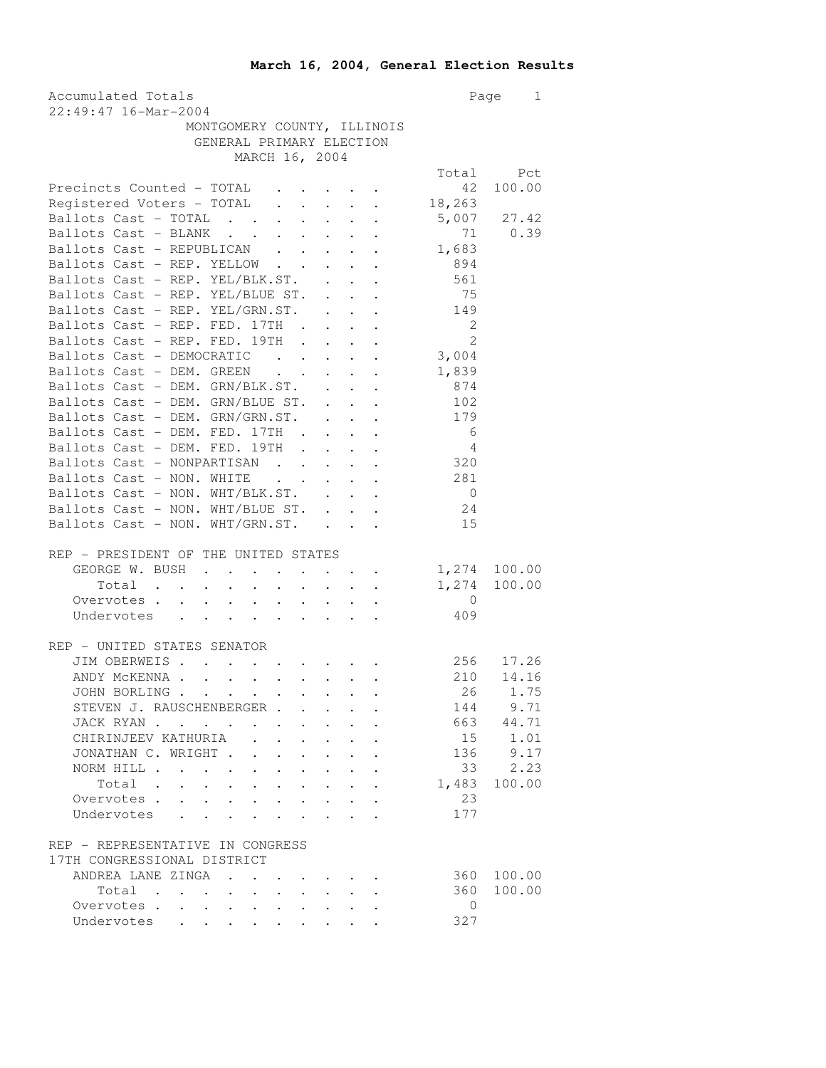| Accumulated Totals<br>22:49:47 16-Mar-2004                                                                                                                                                                                                                                                                                                                                                                                                                                                          | Page<br>$\mathbf{1}$       |              |
|-----------------------------------------------------------------------------------------------------------------------------------------------------------------------------------------------------------------------------------------------------------------------------------------------------------------------------------------------------------------------------------------------------------------------------------------------------------------------------------------------------|----------------------------|--------------|
| MONTGOMERY COUNTY, ILLINOIS                                                                                                                                                                                                                                                                                                                                                                                                                                                                         |                            |              |
| GENERAL PRIMARY ELECTION                                                                                                                                                                                                                                                                                                                                                                                                                                                                            |                            |              |
| MARCH 16, 2004                                                                                                                                                                                                                                                                                                                                                                                                                                                                                      |                            |              |
|                                                                                                                                                                                                                                                                                                                                                                                                                                                                                                     |                            | Total Pct    |
| Precincts Counted - TOTAL                                                                                                                                                                                                                                                                                                                                                                                                                                                                           | 42                         | 100.00       |
| Registered Voters - TOTAL                                                                                                                                                                                                                                                                                                                                                                                                                                                                           | 18,263                     |              |
| Ballots Cast - TOTAL                                                                                                                                                                                                                                                                                                                                                                                                                                                                                | 5,007                      | 27.42        |
| Ballots Cast - BLANK                                                                                                                                                                                                                                                                                                                                                                                                                                                                                |                            | 71 0.39      |
| Ballots Cast - REPUBLICAN                                                                                                                                                                                                                                                                                                                                                                                                                                                                           | 1,683                      |              |
| Ballots Cast - REP. YELLOW                                                                                                                                                                                                                                                                                                                                                                                                                                                                          | 894                        |              |
| Ballots Cast - REP. YEL/BLK.ST.                                                                                                                                                                                                                                                                                                                                                                                                                                                                     | 561                        |              |
| Ballots Cast - REP. YEL/BLUE ST.                                                                                                                                                                                                                                                                                                                                                                                                                                                                    | 75                         |              |
| Ballots Cast - REP. YEL/GRN.ST.<br>$\mathcal{L}^{\text{max}}$                                                                                                                                                                                                                                                                                                                                                                                                                                       | 149                        |              |
| $\mathbf{z} = \mathbf{z} + \mathbf{z}$<br>Ballots Cast - REP. FED. 17TH .                                                                                                                                                                                                                                                                                                                                                                                                                           | $\overline{\phantom{0}}$ 2 |              |
| $\ddot{\phantom{0}}$<br>$\mathbf{L}^{\text{max}}$ , $\mathbf{L}^{\text{max}}$<br>Ballots Cast - REP. FED. 19TH                                                                                                                                                                                                                                                                                                                                                                                      | $\mathfrak{L}$             |              |
|                                                                                                                                                                                                                                                                                                                                                                                                                                                                                                     |                            |              |
| Ballots Cast - DEMOCRATIC                                                                                                                                                                                                                                                                                                                                                                                                                                                                           | 3,004                      |              |
| Ballots Cast - DEM. GREEN<br>$\mathbf{r}$ , $\mathbf{r}$ , $\mathbf{r}$ , $\mathbf{r}$ , $\mathbf{r}$ , $\mathbf{r}$                                                                                                                                                                                                                                                                                                                                                                                | 1,839                      |              |
| Ballots Cast - DEM. GRN/BLK.ST.                                                                                                                                                                                                                                                                                                                                                                                                                                                                     | 874                        |              |
| Ballots Cast - DEM. GRN/BLUE ST.                                                                                                                                                                                                                                                                                                                                                                                                                                                                    | 102                        |              |
| Ballots Cast - DEM. GRN/GRN.ST.<br>$\mathbf{z} = \mathbf{z} + \mathbf{z}$ , where $\mathbf{z} = \mathbf{z}$                                                                                                                                                                                                                                                                                                                                                                                         | 179                        |              |
| Ballots Cast - DEM. FED. 17TH .<br>$\mathbf{r} = \mathbf{r} + \mathbf{r}$ .                                                                                                                                                                                                                                                                                                                                                                                                                         | 6                          |              |
| Ballots Cast - DEM. FED. 19TH<br>$\mathbf{r}$<br>$\mathcal{L}^{\text{max}}$<br>$\mathbf{L}^{\text{max}}$<br>$\ddot{\phantom{0}}$                                                                                                                                                                                                                                                                                                                                                                    | $\overline{4}$             |              |
| Ballots Cast - NONPARTISAN<br>$\ddot{\phantom{0}}$<br>$\sim$                                                                                                                                                                                                                                                                                                                                                                                                                                        | 320                        |              |
| $\mathbf{r}$ , $\mathbf{r}$ , $\mathbf{r}$ , $\mathbf{r}$<br>Ballots Cast - NON. WHITE                                                                                                                                                                                                                                                                                                                                                                                                              | 281                        |              |
| Ballots Cast - NON. WHT/BLK.ST.                                                                                                                                                                                                                                                                                                                                                                                                                                                                     | $\overline{0}$             |              |
| Ballots Cast - NON. WHT/BLUE ST.                                                                                                                                                                                                                                                                                                                                                                                                                                                                    | 24                         |              |
| Ballots Cast - NON. WHT/GRN.ST.                                                                                                                                                                                                                                                                                                                                                                                                                                                                     | 15                         |              |
|                                                                                                                                                                                                                                                                                                                                                                                                                                                                                                     |                            |              |
| REP - PRESIDENT OF THE UNITED STATES                                                                                                                                                                                                                                                                                                                                                                                                                                                                |                            |              |
| GEORGE W. BUSH<br>$\mathbf{z} = \mathbf{z} + \mathbf{z}$ .<br>$\bullet$ , $\bullet$ , $\bullet$ , $\bullet$ , $\bullet$                                                                                                                                                                                                                                                                                                                                                                             |                            | 1,274 100.00 |
| Total .<br>$\mathbf{r} = \mathbf{r} + \mathbf{r}$ , where<br>$\sim$ $\sim$<br>$\bullet$ .<br>$\sim$ $-$<br>$\mathbf{A}^{\text{max}}$ , and $\mathbf{A}^{\text{max}}$<br>$\bullet$ .                                                                                                                                                                                                                                                                                                                 |                            | 1,274 100.00 |
| Overvotes .                                                                                                                                                                                                                                                                                                                                                                                                                                                                                         | $\overline{0}$             |              |
| $\begin{aligned} \mathbf{1}_{\mathcal{A}}\left(\mathbf{1}_{\mathcal{A}}\right) & =\mathbf{1}_{\mathcal{A}}\left(\mathbf{1}_{\mathcal{A}}\right) & =\mathbf{1}_{\mathcal{A}}\left(\mathbf{1}_{\mathcal{A}}\right) & =\mathbf{1}_{\mathcal{A}}\left(\mathbf{1}_{\mathcal{A}}\right) & =\mathbf{1}_{\mathcal{A}}\left(\mathbf{1}_{\mathcal{A}}\right) & =\mathbf{1}_{\mathcal{A}}\left(\mathbf{1}_{\mathcal{A}}\right) & =\mathbf{1}_{\mathcal{A}}\left(\mathbf{1}_{\mathcal{A}}\right)$<br>Undervotes | 409                        |              |
|                                                                                                                                                                                                                                                                                                                                                                                                                                                                                                     |                            |              |
| REP - UNITED STATES SENATOR                                                                                                                                                                                                                                                                                                                                                                                                                                                                         |                            |              |
| JIM OBERWEIS.                                                                                                                                                                                                                                                                                                                                                                                                                                                                                       |                            | 17.26        |
| ANDY MCKENNA                                                                                                                                                                                                                                                                                                                                                                                                                                                                                        | 210                        | 14.16        |
| JOHN BORLING                                                                                                                                                                                                                                                                                                                                                                                                                                                                                        | 26                         | 1.75         |
|                                                                                                                                                                                                                                                                                                                                                                                                                                                                                                     |                            |              |
| STEVEN J. RAUSCHENBERGER .                                                                                                                                                                                                                                                                                                                                                                                                                                                                          | 144<br>663                 | 9.71         |
| JACK RYAN<br>$\ddot{\phantom{0}}$                                                                                                                                                                                                                                                                                                                                                                                                                                                                   |                            | 44.71        |
| CHIRINJEEV KATHURIA<br>$\mathbf{r}$                                                                                                                                                                                                                                                                                                                                                                                                                                                                 | 15                         | 1.01         |
| $\mathbf{L}$<br>JONATHAN C. WRIGHT.<br>$\ddotsc$<br>$\sim$                                                                                                                                                                                                                                                                                                                                                                                                                                          |                            | 136 9.17     |
| NORM HILL<br>$\ddot{\phantom{a}}$ . $\ddot{\phantom{a}}$                                                                                                                                                                                                                                                                                                                                                                                                                                            | 33                         | 2.23         |
| Total                                                                                                                                                                                                                                                                                                                                                                                                                                                                                               | 1,483                      | 100.00       |
| Overvotes                                                                                                                                                                                                                                                                                                                                                                                                                                                                                           | 23                         |              |
| Undervotes                                                                                                                                                                                                                                                                                                                                                                                                                                                                                          | 177                        |              |
|                                                                                                                                                                                                                                                                                                                                                                                                                                                                                                     |                            |              |
| REP - REPRESENTATIVE IN CONGRESS                                                                                                                                                                                                                                                                                                                                                                                                                                                                    |                            |              |
| 17TH CONGRESSIONAL DISTRICT                                                                                                                                                                                                                                                                                                                                                                                                                                                                         |                            |              |
| ANDREA LANE ZINGA<br>$\sim$ $\sim$ $\sim$                                                                                                                                                                                                                                                                                                                                                                                                                                                           | 360                        | 100.00       |
| Total                                                                                                                                                                                                                                                                                                                                                                                                                                                                                               | 360                        | 100.00       |
| Overvotes                                                                                                                                                                                                                                                                                                                                                                                                                                                                                           | $\mathbf{0}$               |              |
| Undervotes                                                                                                                                                                                                                                                                                                                                                                                                                                                                                          | 327                        |              |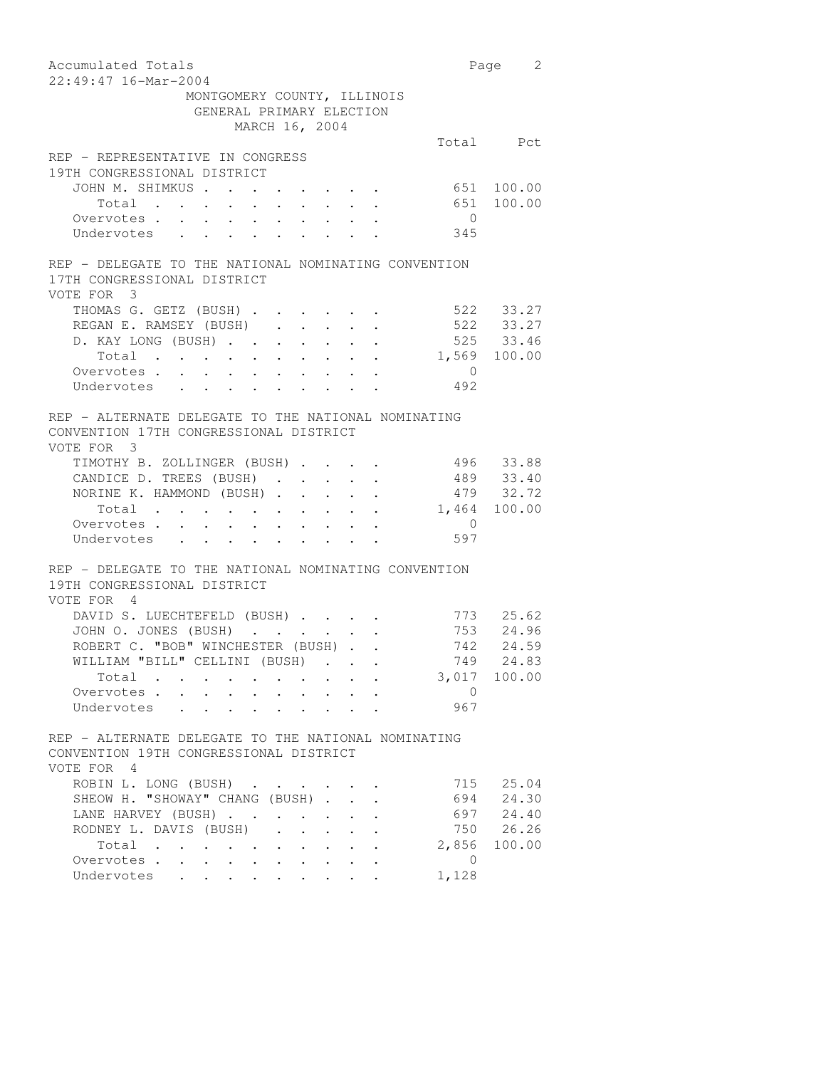| Accumulated Totals                                                                                                                                                                                       |                | Page 2                   |
|----------------------------------------------------------------------------------------------------------------------------------------------------------------------------------------------------------|----------------|--------------------------|
| 22:49:47 16-Mar-2004                                                                                                                                                                                     |                |                          |
| MONTGOMERY COUNTY, ILLINOIS<br>GENERAL PRIMARY ELECTION                                                                                                                                                  |                |                          |
|                                                                                                                                                                                                          |                |                          |
| MARCH 16, 2004                                                                                                                                                                                           |                |                          |
| REP - REPRESENTATIVE IN CONGRESS                                                                                                                                                                         |                | Total Pct                |
| 19TH CONGRESSIONAL DISTRICT                                                                                                                                                                              |                |                          |
| JOHN M. SHIMKUS                                                                                                                                                                                          |                |                          |
|                                                                                                                                                                                                          |                | 651 100.00<br>651 100.00 |
| Total<br>Overvotes.<br>$\sim$<br>$\sim$                                                                                                                                                                  | $\overline{0}$ |                          |
| $\bullet$ , $\bullet$ , $\bullet$ , $\bullet$<br>$\mathbf{u} = \mathbf{u} \cdot \mathbf{u}$<br>$\mathcal{A}^{\mathcal{A}}$ and $\mathcal{A}^{\mathcal{A}}$ and $\mathcal{A}^{\mathcal{A}}$<br>Undervotes | 345            |                          |
|                                                                                                                                                                                                          |                |                          |
| REP - DELEGATE TO THE NATIONAL NOMINATING CONVENTION                                                                                                                                                     |                |                          |
| 17TH CONGRESSIONAL DISTRICT<br>VOTE FOR 3                                                                                                                                                                |                |                          |
| THOMAS G. GETZ (BUSH)                                                                                                                                                                                    |                | 522 33.27                |
| REGAN E. RAMSEY (BUSH)                                                                                                                                                                                   |                | 522 33.27                |
| D. KAY LONG (BUSH)<br>$\mathcal{A}^{\mathcal{A}}$ , $\mathcal{A}^{\mathcal{A}}$ , $\mathcal{A}^{\mathcal{A}}$ , $\mathcal{A}^{\mathcal{A}}$                                                              |                | 525 33.46                |
| Total<br>$\bullet$ .<br>$\bullet$ .<br>$\mathbf{r} = \mathbf{r} \cdot \mathbf{r}$ .<br>$\sim$ $\sim$<br>$\mathcal{A}^{\mathcal{A}}$ and $\mathcal{A}^{\mathcal{A}}$ .                                    |                | 1,569 100.00             |
| Overvotes                                                                                                                                                                                                | $\overline{0}$ |                          |
| Undervotes                                                                                                                                                                                               | 492            |                          |
| REP - ALTERNATE DELEGATE TO THE NATIONAL NOMINATING                                                                                                                                                      |                |                          |
| CONVENTION 17TH CONGRESSIONAL DISTRICT                                                                                                                                                                   |                |                          |
| VOTE FOR 3                                                                                                                                                                                               |                |                          |
| TIMOTHY B. ZOLLINGER (BUSH)                                                                                                                                                                              |                |                          |
| CANDICE D. TREES (BUSH)<br>$\mathbf{u} = \mathbf{u} + \mathbf{u}$ .                                                                                                                                      |                | 496 33.88                |
| NORINE K. HAMMOND (BUSH)<br>$\sim$<br>$\sim$                                                                                                                                                             |                | 489 33.40<br>479 32.72   |
| Total                                                                                                                                                                                                    |                | 1,464 100.00             |
| Overvotes.                                                                                                                                                                                               | $\overline{0}$ |                          |
| Undervotes                                                                                                                                                                                               | 597            |                          |
|                                                                                                                                                                                                          |                |                          |
| REP - DELEGATE TO THE NATIONAL NOMINATING CONVENTION<br>19TH CONGRESSIONAL DISTRICT                                                                                                                      |                |                          |
| VOTE FOR 4                                                                                                                                                                                               |                |                          |
| DAVID S. LUECHTEFELD (BUSH)                                                                                                                                                                              |                | 773 25.62                |
| JOHN O. JONES (BUSH)                                                                                                                                                                                     |                | 753 24.96                |
| ROBERT C. "BOB" WINCHESTER (BUSH)                                                                                                                                                                        |                | 742 24.59                |
| WILLIAM "BILL" CELLINI (BUSH)                                                                                                                                                                            | 749            | 24.83                    |
| Total                                                                                                                                                                                                    |                | 3,017 100.00             |
| Overvotes                                                                                                                                                                                                | $\overline{0}$ |                          |
| Undervotes                                                                                                                                                                                               | 967            |                          |
|                                                                                                                                                                                                          |                |                          |
| REP - ALTERNATE DELEGATE TO THE NATIONAL NOMINATING                                                                                                                                                      |                |                          |
| CONVENTION 19TH CONGRESSIONAL DISTRICT                                                                                                                                                                   |                |                          |
| VOTE FOR 4                                                                                                                                                                                               |                |                          |
| ROBIN L. LONG (BUSH)                                                                                                                                                                                     |                | 715 25.04                |
| SHEOW H. "SHOWAY" CHANG (BUSH)                                                                                                                                                                           |                | 694 24.30                |
| LANE HARVEY (BUSH)<br>$\cdot$ $\cdot$ $\cdot$ $\cdot$                                                                                                                                                    |                | 697 24.40                |
| RODNEY L. DAVIS (BUSH)<br>$\ddot{\phantom{a}}$<br>$\cdot$ $\cdot$ $\cdot$<br>$\ddot{\phantom{a}}$                                                                                                        |                | 750 26.26                |
| Total                                                                                                                                                                                                    |                | 2,856 100.00             |
| Overvotes                                                                                                                                                                                                | $\Omega$       |                          |
| Undervotes<br>$\bullet$ . The set of $\bullet$<br>$\bullet$ .<br>$\bullet$ .                                                                                                                             | 1,128          |                          |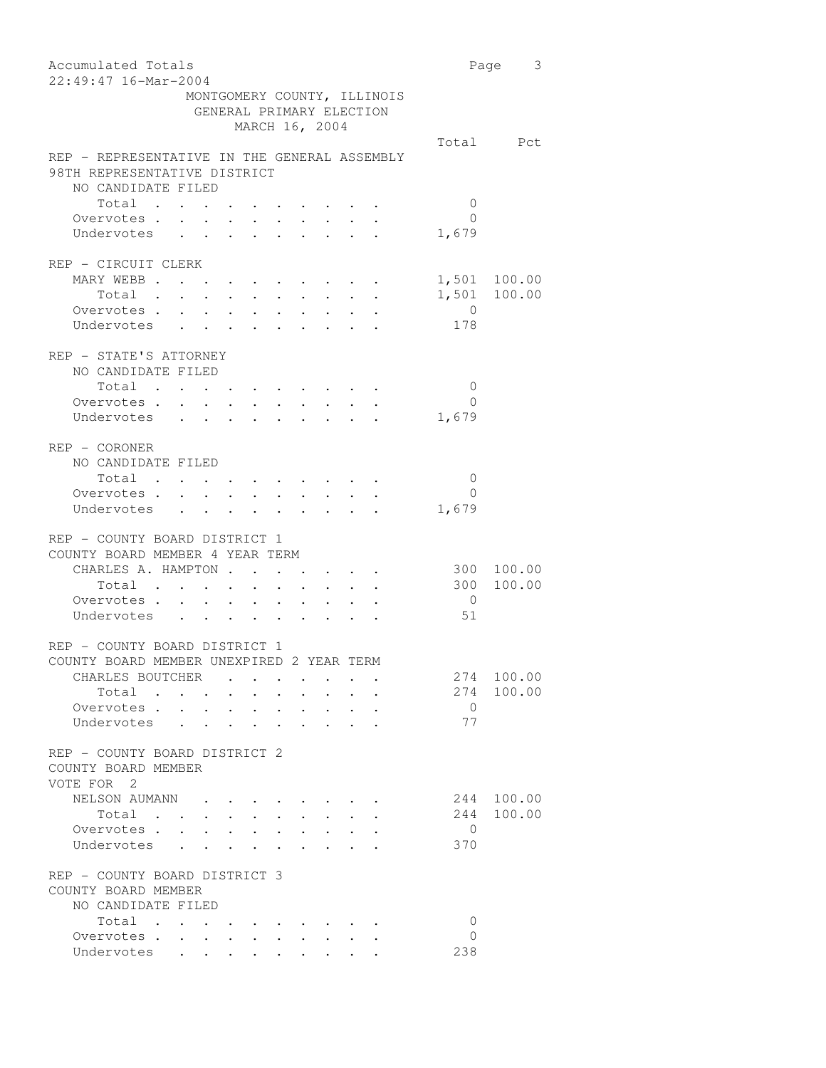| Accumulated Totals<br>22:49:47 16-Mar-2004                                                                                                                                                                                                                   |                         | 3<br>Page |
|--------------------------------------------------------------------------------------------------------------------------------------------------------------------------------------------------------------------------------------------------------------|-------------------------|-----------|
| MONTGOMERY COUNTY, ILLINOIS<br>GENERAL PRIMARY ELECTION<br>MARCH 16, 2004                                                                                                                                                                                    |                         |           |
|                                                                                                                                                                                                                                                              |                         | Total Pct |
| REP - REPRESENTATIVE IN THE GENERAL ASSEMBLY<br>98TH REPRESENTATIVE DISTRICT                                                                                                                                                                                 |                         |           |
| NO CANDIDATE FILED                                                                                                                                                                                                                                           |                         |           |
| Total<br>$\sim$ $\sim$<br>$\bullet$ . In the case of the contract $\bullet$                                                                                                                                                                                  | 0                       |           |
| Overvotes<br>Undervotes                                                                                                                                                                                                                                      | $\overline{0}$<br>1,679 |           |
| REP - CIRCUIT CLERK                                                                                                                                                                                                                                          |                         |           |
| MARY WEBB<br>$\cdot$ , , , , , , , ,                                                                                                                                                                                                                         | 1,501                   | 100.00    |
| Total                                                                                                                                                                                                                                                        | 1,501                   | 100.00    |
| Overvotes.                                                                                                                                                                                                                                                   | $\overline{0}$          |           |
| Undervotes                                                                                                                                                                                                                                                   | 178                     |           |
| REP - STATE'S ATTORNEY                                                                                                                                                                                                                                       |                         |           |
| NO CANDIDATE FILED                                                                                                                                                                                                                                           |                         |           |
| Total<br>$\bullet$ .                                                                                                                                                                                                                                         | 0                       |           |
| Overvotes .<br>$\sim$                                                                                                                                                                                                                                        | $\Omega$                |           |
| $\mathbf{L}^{\text{max}}$<br>$\ddot{\phantom{0}}$<br>Undervotes<br>$\sim 10^{-11}$<br>$\mathbf{L}^{\text{max}}$                                                                                                                                              | 1,679                   |           |
|                                                                                                                                                                                                                                                              |                         |           |
| $REF - CORONER$                                                                                                                                                                                                                                              |                         |           |
| NO CANDIDATE FILED                                                                                                                                                                                                                                           |                         |           |
| Total<br>$\sim$ $\sim$<br>$\bullet$ . The contribution of the contribution of the contribution of the contribution of the contribution of the contribution of the contribution of the contribution of the contribution of the contribution of the contributi | 0                       |           |
| Overvotes .<br>$\mathbf{r} = \mathbf{r} + \mathbf{r} + \mathbf{r} + \mathbf{r} + \mathbf{r} + \mathbf{r}$                                                                                                                                                    | 0                       |           |
| Undervotes                                                                                                                                                                                                                                                   | 1,679                   |           |
| REP - COUNTY BOARD DISTRICT 1                                                                                                                                                                                                                                |                         |           |
| COUNTY BOARD MEMBER 4 YEAR TERM                                                                                                                                                                                                                              |                         |           |
| CHARLES A. HAMPTON                                                                                                                                                                                                                                           | 300                     | 100.00    |
| Total                                                                                                                                                                                                                                                        | 300                     | 100.00    |
| Overvotes                                                                                                                                                                                                                                                    | $\overline{0}$          |           |
| Undervotes                                                                                                                                                                                                                                                   | 51                      |           |
|                                                                                                                                                                                                                                                              |                         |           |
| REP - COUNTY BOARD DISTRICT 1<br>COUNTY BOARD MEMBER UNEXPIRED 2 YEAR TERM                                                                                                                                                                                   |                         |           |
| CHARLES BOUTCHER                                                                                                                                                                                                                                             | 274                     | 100.00    |
| Total<br>$\mathbf{L} = \mathbf{L} \mathbf{L}$<br>$\ddot{\phantom{0}}$<br>$\cdot$ $\cdot$<br>$\sim$                                                                                                                                                           | 274                     | 100.00    |
| Overvotes                                                                                                                                                                                                                                                    | $\mathbf{0}$            |           |
| Undervotes                                                                                                                                                                                                                                                   | 77                      |           |
|                                                                                                                                                                                                                                                              |                         |           |
| REP - COUNTY BOARD DISTRICT 2                                                                                                                                                                                                                                |                         |           |
| COUNTY BOARD MEMBER                                                                                                                                                                                                                                          |                         |           |
| VOTE FOR 2<br>NELSON AUMANN                                                                                                                                                                                                                                  | 244                     | 100.00    |
| Total .                                                                                                                                                                                                                                                      | 244                     | 100.00    |
| $\mathbf{r}$ , $\mathbf{r}$ , $\mathbf{r}$ , $\mathbf{r}$ , $\mathbf{r}$<br>$\mathbf{L} = \mathbf{L}$<br>Overvotes                                                                                                                                           | $\mathbf{0}$            |           |
| $\mathbf{r}$ . The set of $\mathbf{r}$<br>$\mathbf{r} = \mathbf{r} - \mathbf{r}$<br>Undervotes .<br>$\mathbf{L}$<br>$\ddot{\phantom{0}}$<br>$\ddot{\phantom{a}}$                                                                                             | 370                     |           |
|                                                                                                                                                                                                                                                              |                         |           |
| REP - COUNTY BOARD DISTRICT 3                                                                                                                                                                                                                                |                         |           |
| COUNTY BOARD MEMBER                                                                                                                                                                                                                                          |                         |           |
| NO CANDIDATE FILED                                                                                                                                                                                                                                           |                         |           |
| Total<br>$\sim$                                                                                                                                                                                                                                              | 0                       |           |
| Overvotes .<br>$\sim$                                                                                                                                                                                                                                        | $\Omega$                |           |
| Undervotes<br>$\mathbf{u} = \mathbf{u} + \mathbf{u} + \mathbf{u} + \mathbf{u} + \mathbf{u} + \mathbf{u} + \mathbf{u} + \mathbf{u} + \mathbf{u}$                                                                                                              | 238                     |           |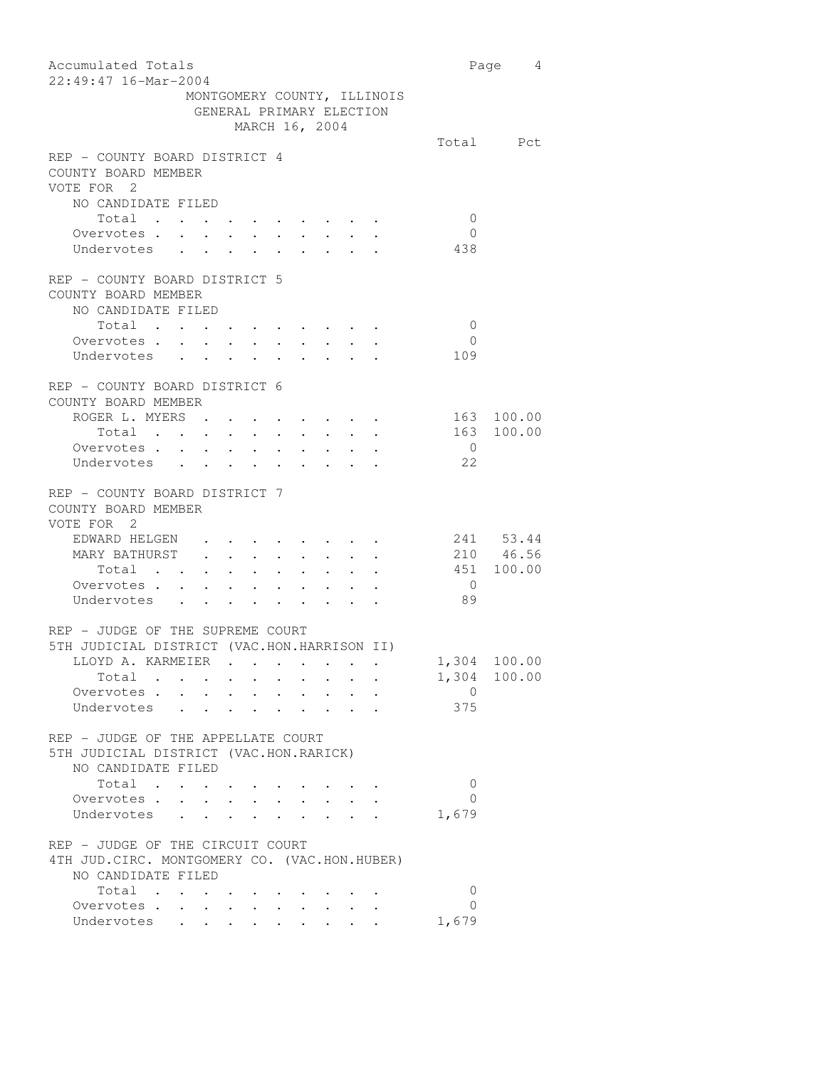| Accumulated Totals<br>22:49:47 16-Mar-2004                                                                                                                                                                                                 |                | Page 4       |
|--------------------------------------------------------------------------------------------------------------------------------------------------------------------------------------------------------------------------------------------|----------------|--------------|
| MONTGOMERY COUNTY, ILLINOIS<br>GENERAL PRIMARY ELECTION                                                                                                                                                                                    |                |              |
| MARCH 16, 2004                                                                                                                                                                                                                             |                |              |
| REP - COUNTY BOARD DISTRICT 4<br>COUNTY BOARD MEMBER<br>VOTE FOR 2                                                                                                                                                                         |                | Total Pct    |
| NO CANDIDATE FILED                                                                                                                                                                                                                         |                |              |
| Total                                                                                                                                                                                                                                      | $\overline{0}$ |              |
| Overvotes                                                                                                                                                                                                                                  | $\overline{0}$ |              |
| Undervotes .<br>$\ddot{\phantom{a}}$                                                                                                                                                                                                       | 438            |              |
| REP - COUNTY BOARD DISTRICT 5<br>COUNTY BOARD MEMBER<br>NO CANDIDATE FILED<br>Total                                                                                                                                                        | $\overline{0}$ |              |
| Overvotes                                                                                                                                                                                                                                  | $\bigcirc$     |              |
| Undervotes                                                                                                                                                                                                                                 | 109            |              |
| REP - COUNTY BOARD DISTRICT 6<br>COUNTY BOARD MEMBER<br>ROGER L. MYERS .                                                                                                                                                                   | 163            | 100.00       |
| $\bullet$ .<br><br><br><br><br><br><br><br><br><br><br><br><br><br>Total                                                                                                                                                                   | 163            | 100.00       |
| Overvotes.                                                                                                                                                                                                                                 | $\overline{0}$ |              |
|                                                                                                                                                                                                                                            | 22             |              |
| Undervotes                                                                                                                                                                                                                                 |                |              |
| REP - COUNTY BOARD DISTRICT 7<br>COUNTY BOARD MEMBER<br>VOTE FOR 2                                                                                                                                                                         |                |              |
| EDWARD HELGEN<br><b>All Contracts</b>                                                                                                                                                                                                      |                | 241 53.44    |
| MARY BATHURST .<br>$\ddot{\phantom{0}}$<br>$\sim$ $-$<br>$\bullet$ .                                                                                                                                                                       |                | 210 46.56    |
| $\mathbf{r}$ . The set of the set of the set of the set of the set of the set of the set of the set of the set of the set of the set of the set of the set of the set of the set of the set of the set of the set of the set of t<br>Total |                | 451 100.00   |
| Overvotes.                                                                                                                                                                                                                                 | $\overline{0}$ |              |
| Undervotes                                                                                                                                                                                                                                 | 89             |              |
| REP - JUDGE OF THE SUPREME COURT<br>5TH JUDICIAL DISTRICT (VAC.HON.HARRISON II)                                                                                                                                                            |                |              |
| LLOYD A. KARMEIER .                                                                                                                                                                                                                        |                | 1,304 100.00 |
| Total .                                                                                                                                                                                                                                    |                | 1,304 100.00 |
| Overvotes<br>$\sim$                                                                                                                                                                                                                        | $\Omega$       |              |
| $\sim$<br>Undervotes<br>$\ddot{\phantom{0}}$<br>$\mathbf{r}$ , $\mathbf{r}$ , $\mathbf{r}$                                                                                                                                                 | 375            |              |
| $\ddot{\phantom{0}}$<br>$\ddot{\phantom{0}}$                                                                                                                                                                                               |                |              |
| REP - JUDGE OF THE APPELLATE COURT<br>5TH JUDICIAL DISTRICT (VAC.HON.RARICK)<br>NO CANDIDATE FILED                                                                                                                                         |                |              |
| Total                                                                                                                                                                                                                                      | 0              |              |
| Overvotes.                                                                                                                                                                                                                                 | $\Omega$       |              |
| Undervotes                                                                                                                                                                                                                                 | 1,679          |              |
| $\ddot{\phantom{0}}$                                                                                                                                                                                                                       |                |              |
| REP - JUDGE OF THE CIRCUIT COURT                                                                                                                                                                                                           |                |              |
| 4TH JUD. CIRC. MONTGOMERY CO. (VAC.HON.HUBER)                                                                                                                                                                                              |                |              |
| NO CANDIDATE FILED                                                                                                                                                                                                                         |                |              |
| Total<br>$\sim$ $\sim$                                                                                                                                                                                                                     | 0<br>$\Omega$  |              |
| Overvotes<br>$\bullet$ .<br><br><br><br><br><br><br><br><br><br><br><br><br>                                                                                                                                                               | 1,679          |              |
| Undervotes<br>$\bullet$ . The set of $\bullet$                                                                                                                                                                                             |                |              |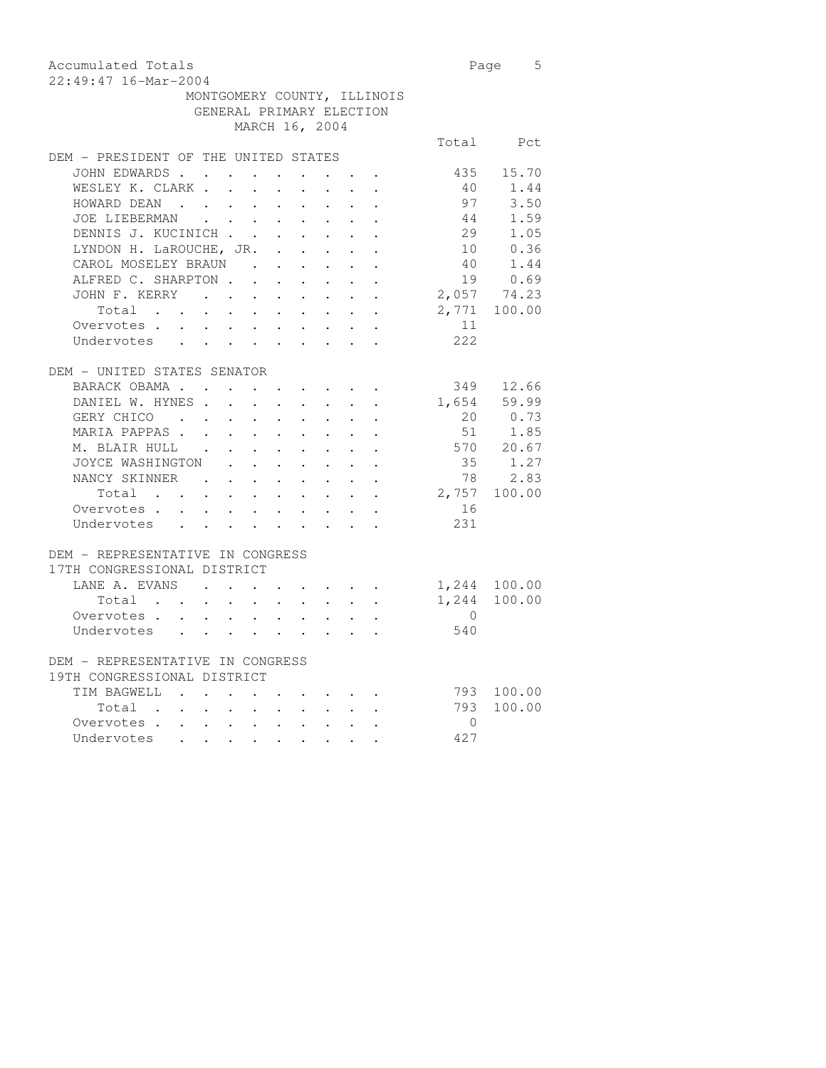| Accumulated Totals          | Page 5 |  |
|-----------------------------|--------|--|
| 22:49:47 16-Mar-2004        |        |  |
| MONTGOMERY COUNTY, ILLINOIS |        |  |
| GENERAL PRIMARY ELECTION    |        |  |

MARCH 16, 2004

|                                                  |                                                                               |                               |                                                           |                                                             |          | Total Pct            |
|--------------------------------------------------|-------------------------------------------------------------------------------|-------------------------------|-----------------------------------------------------------|-------------------------------------------------------------|----------|----------------------|
| DEM - PRESIDENT OF THE UNITED STATES             |                                                                               |                               |                                                           |                                                             |          |                      |
| JOHN EDWARDS                                     | $\mathbf{r}$ , and $\mathbf{r}$ , and $\mathbf{r}$ , and $\mathbf{r}$         |                               |                                                           |                                                             | 435      | 15.70                |
| WESLEY K. CLARK .<br>$\mathbf{r}$                | $\ddot{\phantom{a}}$                                                          |                               | $\mathbf{r}$                                              |                                                             | 40       | 1.44                 |
| HOWARD DEAN                                      |                                                                               |                               |                                                           | $\mathbf{r} = \mathbf{r}$                                   | 97       | 3.50                 |
| JOE LIEBERMAN                                    |                                                                               |                               |                                                           |                                                             | 44       | 1.59                 |
| DENNIS J. KUCINICH                               |                                                                               |                               |                                                           |                                                             |          | 29 1.05              |
| LYNDON H. LaROUCHE, JR. .                        |                                                                               | $\mathbf{L}^{\text{max}}$     | $\sim$ 100 $\pm$                                          | $\cdot$ $\cdot$ $\cdot$                                     |          | 10 0.36              |
| CAROL MOSELEY BRAUN                              | $\mathbf{r}$<br>$\bullet$ .                                                   |                               | $\mathbf{L}^{\text{max}}$ , and $\mathbf{L}^{\text{max}}$ |                                                             |          |                      |
| ALFRED C. SHARPTON.                              | $\ddot{\phantom{a}}$<br>$\mathbf{r}$                                          | $\mathbf{r}$                  | $\mathbf{r}$                                              |                                                             |          | $\frac{38}{19}$ 1.44 |
| JOHN F. KERRY                                    |                                                                               |                               | $\sim$                                                    | $\sim$ $\sim$                                               |          | $2,057$ 74.23        |
| Total                                            |                                                                               |                               |                                                           |                                                             |          | 2,771 100.00         |
| Overvotes.                                       |                                                                               |                               |                                                           |                                                             | 11       |                      |
| Undervotes                                       |                                                                               |                               |                                                           |                                                             | 222      |                      |
|                                                  |                                                                               |                               |                                                           |                                                             |          |                      |
| DEM - UNITED STATES SENATOR                      |                                                                               |                               |                                                           |                                                             |          |                      |
| BARACK OBAMA                                     |                                                                               |                               |                                                           |                                                             | 349      | 12.66                |
| DANIEL W. HYNES.<br>$\mathbf{L}$                 | $\sim$                                                                        | $\mathbf{L}$ and $\mathbf{L}$ |                                                           | $\mathcal{L}^{\text{max}}$ , and $\mathcal{L}^{\text{max}}$ | 1,654    | 59.99                |
| GERY CHICO                                       |                                                                               |                               |                                                           | $\mathbf{L} = \mathbf{L}$                                   |          | 20 0.73              |
| MARIA PAPPAS                                     | $\mathbf{r}$ , $\mathbf{r}$ , $\mathbf{r}$ , $\mathbf{r}$                     |                               |                                                           | $\mathbf{L}$ and $\mathbf{L}$                               |          | 51 1.85              |
| M. BLAIR HULL .                                  | $\mathbf{r} = \mathbf{r} + \mathbf{r} + \mathbf{r} + \mathbf{r} + \mathbf{r}$ |                               |                                                           | $\mathbf{z} = \mathbf{z}$ , and $\mathbf{z} = \mathbf{z}$   |          | 570 20.67            |
| JOYCE WASHINGTON<br>$\ddot{\phantom{0}}$         | $\mathbf{L}^{\text{max}}$ , and $\mathbf{L}^{\text{max}}$                     |                               | $\mathbf{L}^{\text{max}}$ , and $\mathbf{L}^{\text{max}}$ |                                                             | 35       | 1.27                 |
| NANCY SKINNER .<br>$\mathcal{L}^{\text{max}}$    | $\ddot{\phantom{0}}$<br>$\ddot{\phantom{0}}$                                  | $\ddot{\phantom{0}}$          | $\ddot{\phantom{a}}$                                      | $\mathbf{L}^{\text{max}}$ , and $\mathbf{L}^{\text{max}}$   | 78       | 2.83                 |
| Total<br>$\sim$ $-$<br>$\mathbf{L}^{\text{max}}$ | $\sim$<br>$\mathbf{L}^{\text{max}}$                                           | $\ddot{\phantom{0}}$          | $\ddot{\phantom{a}}$                                      | $\sim$                                                      |          | 2,757 100.00         |
| Overvotes                                        |                                                                               |                               |                                                           | $\mathbf{L}$ $\mathbf{L}$                                   | 16       |                      |
| Undervotes                                       |                                                                               |                               |                                                           |                                                             | 231      |                      |
|                                                  |                                                                               |                               |                                                           |                                                             |          |                      |
| DEM - REPRESENTATIVE IN CONGRESS                 |                                                                               |                               |                                                           |                                                             |          |                      |
| 17TH CONGRESSIONAL DISTRICT                      |                                                                               |                               |                                                           |                                                             |          |                      |
| LANE A. EVANS.<br>$\sim$                         | $\mathbf{L}^{\text{max}}$                                                     |                               |                                                           |                                                             |          | 1,244 100.00         |
| Total<br>$\mathbf{r} = \mathbf{r} + \mathbf{r}$  | $\sim$                                                                        | $\sim$                        | $\sim 10^{-11}$                                           | $\mathbf{L} = \mathbf{L}$                                   |          | 1,244 100.00         |
| Overvotes.                                       |                                                                               |                               |                                                           |                                                             | $\Omega$ |                      |
| Undervotes                                       |                                                                               |                               |                                                           |                                                             | 540      |                      |
|                                                  |                                                                               |                               |                                                           |                                                             |          |                      |
| DEM - REPRESENTATIVE IN CONGRESS                 |                                                                               |                               |                                                           |                                                             |          |                      |
| 19TH CONGRESSIONAL DISTRICT                      |                                                                               |                               |                                                           |                                                             |          |                      |
| TIM BAGWELL.                                     | $\ddot{\phantom{0}}$                                                          |                               |                                                           |                                                             |          | 793 100.00           |
| Total .<br>$\ddot{\phantom{0}}$<br>$\sim$        | $\mathbf{1}$ , $\mathbf{1}$ , $\mathbf{1}$ , $\mathbf{1}$                     |                               | $\sim$                                                    | $\mathbf{L} = \mathbf{L}$                                   | 793      | 100.00               |
| Overvotes.                                       |                                                                               |                               |                                                           |                                                             | $\Omega$ |                      |
| Undervotes                                       |                                                                               |                               |                                                           |                                                             | 427      |                      |
|                                                  |                                                                               |                               |                                                           |                                                             |          |                      |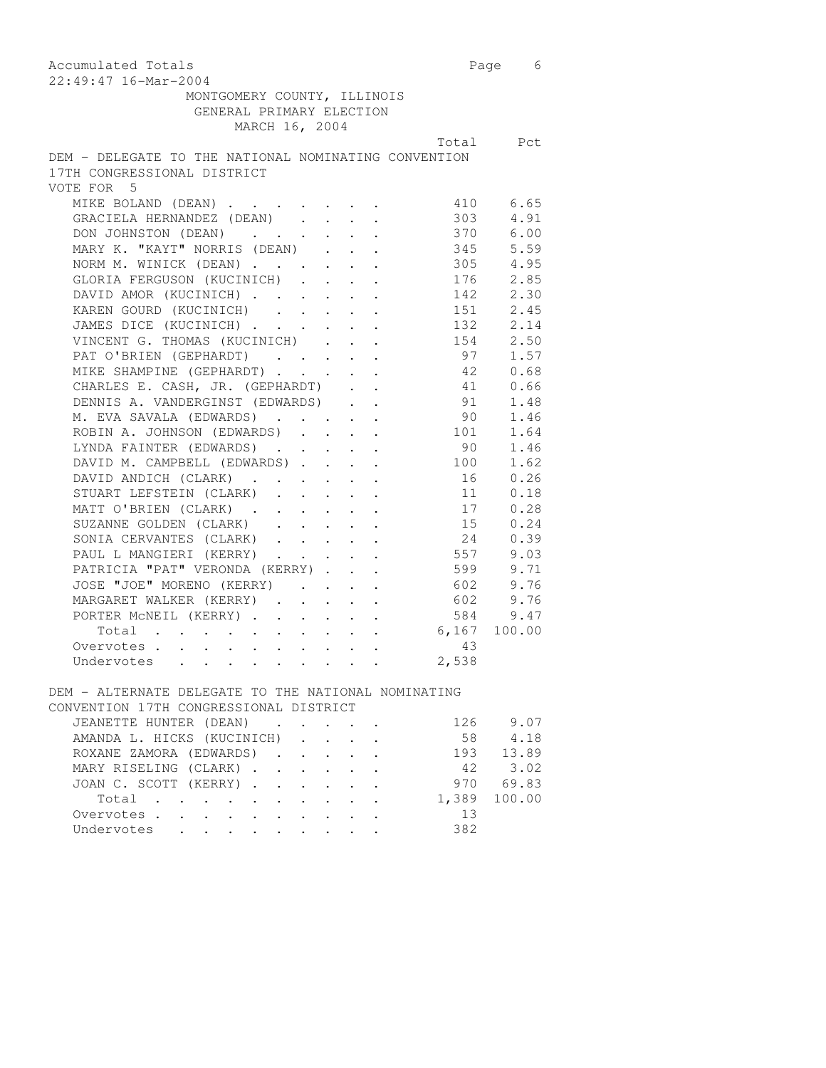| Accumulated Totals                                                                                       |                                                        | Page 6 |
|----------------------------------------------------------------------------------------------------------|--------------------------------------------------------|--------|
| 22:49:47 16-Mar-2004                                                                                     |                                                        |        |
| MONTGOMERY COUNTY, ILLINOIS<br>GENERAL PRIMARY ELECTION                                                  |                                                        |        |
| MARCH 16, 2004                                                                                           |                                                        |        |
|                                                                                                          | Total Pct                                              |        |
| DEM - DELEGATE TO THE NATIONAL NOMINATING CONVENTION<br>17TH CONGRESSIONAL DISTRICT<br>VOTE FOR 5        |                                                        |        |
| MIKE BOLAND (DEAN) 410 6.65                                                                              |                                                        |        |
| GRACIELA HERNANDEZ (DEAN)                                                                                | 303 4.91                                               |        |
|                                                                                                          | 370 6.00                                               |        |
| DON JOHNSTON (DEAN)<br>MARY K. "KAYT" NORRIS (DEAN)                                                      |                                                        |        |
|                                                                                                          | 345 5.59<br>305 4.95<br>176 2.85                       |        |
| NORM M. WINICK (DEAN)<br>GLORIA FERGUSON (KUCINICH)<br>$\langle \cdot \rangle$ , $\langle \cdot \rangle$ |                                                        |        |
| DAVID AMOR (KUCINICH)<br>$\cdot$ $\cdot$ $\cdot$ $\cdot$ $\cdot$                                         | 142 2.30                                               |        |
| KAREN GOURD (KUCINICH)                                                                                   | 151 2.45                                               |        |
| JAMES DICE (KUCINICH)                                                                                    | 132 2.14                                               |        |
| VINCENT G. THOMAS (KUCINICH) 154 2.50                                                                    |                                                        |        |
| PAT O'BRIEN (GEPHARDT) 97 1.57                                                                           |                                                        |        |
| MIKE SHAMPINE (GEPHARDT)                                                                                 | 42 0.68                                                |        |
| CHARLES E. CASH, JR. (GEPHARDT)                                                                          |                                                        |        |
| DENNIS A. VANDERGINST (EDWARDS)<br>$\mathcal{A}^{\mathcal{A}}$ , $\mathcal{A}^{\mathcal{A}}$             | $\begin{array}{cc} 41 & 0.66 \\ 91 & 1.48 \end{array}$ |        |
|                                                                                                          | 91 1.48<br>90 1.46                                     |        |
| M. EVA SAVALA (EDWARDS)<br>ROBIN A. JOHNSON (EDWARDS)                                                    | 101 1.64                                               |        |
| LYNDA FAINTER (EDWARDS)                                                                                  | 90 1.46                                                |        |
| DAVID M. CAMPBELL (EDWARDS) 100 1.62                                                                     |                                                        |        |
| DAVID ANDICH (CLARK) 16 0.26                                                                             |                                                        |        |
| STUART LEFSTEIN (CLARK) 11 0.18                                                                          |                                                        |        |
| MATT O'BRIEN (CLARK)                                                                                     | 17 0.28                                                |        |
| SUZANNE GOLDEN (CLARK)                                                                                   |                                                        |        |
| SONIA CERVANTES (CLARK)                                                                                  | $15$ 0.24<br>24 0.39                                   |        |
| PAUL L MANGIERI (KERRY)                                                                                  | 557 9.03                                               |        |
| PAUL L MANGIERI (KERRY)<br>PATRICIA "PAT" VERONDA (KERRY)                                                | 599 9.71                                               |        |
| JOSE "JOE" MORENO (KERRY) 602 9.76                                                                       |                                                        |        |
| MARGARET WALKER (KERRY)                                                                                  | 602 9.76                                               |        |
| PORTER MCNEIL (KERRY) 584 9.47                                                                           |                                                        |        |
| Total 6,167 100.00                                                                                       |                                                        |        |
| Overvotes                                                                                                | 43                                                     |        |
| Undervotes                                                                                               | 2,538                                                  |        |
|                                                                                                          |                                                        |        |
| DEM - ALTERNATE DELEGATE TO THE NATIONAL NOMINATING                                                      |                                                        |        |
| CONVENTION 17TH CONGRESSIONAL DISTRICT                                                                   |                                                        |        |
| JEANETTE HUNTER (DEAN)                                                                                   | 126 9.07                                               |        |
| AMANDA L. HICKS (KUCINICH)                                                                               | 58                                                     | 4.18   |
| ROXANE ZAMORA (EDWARDS)                                                                                  | 193                                                    | 13.89  |
| MARY RISELING (CLARK).                                                                                   | 42                                                     | 3.02   |

| NUAANE AAPUNA (EDWANDS) (, , , , , , |  |  |  |  |     | $\perp$ 7.) $\perp$ .). () 7 |
|--------------------------------------|--|--|--|--|-----|------------------------------|
| MARY RISELING (CLARK)                |  |  |  |  |     | 42 3.02                      |
| JOAN C. SCOTT (KERRY)                |  |  |  |  |     | 970 69.83                    |
| Total                                |  |  |  |  |     | 1,389 100.00                 |
| Overvotes.                           |  |  |  |  | 13  |                              |
| Undervotes                           |  |  |  |  | 382 |                              |
|                                      |  |  |  |  |     |                              |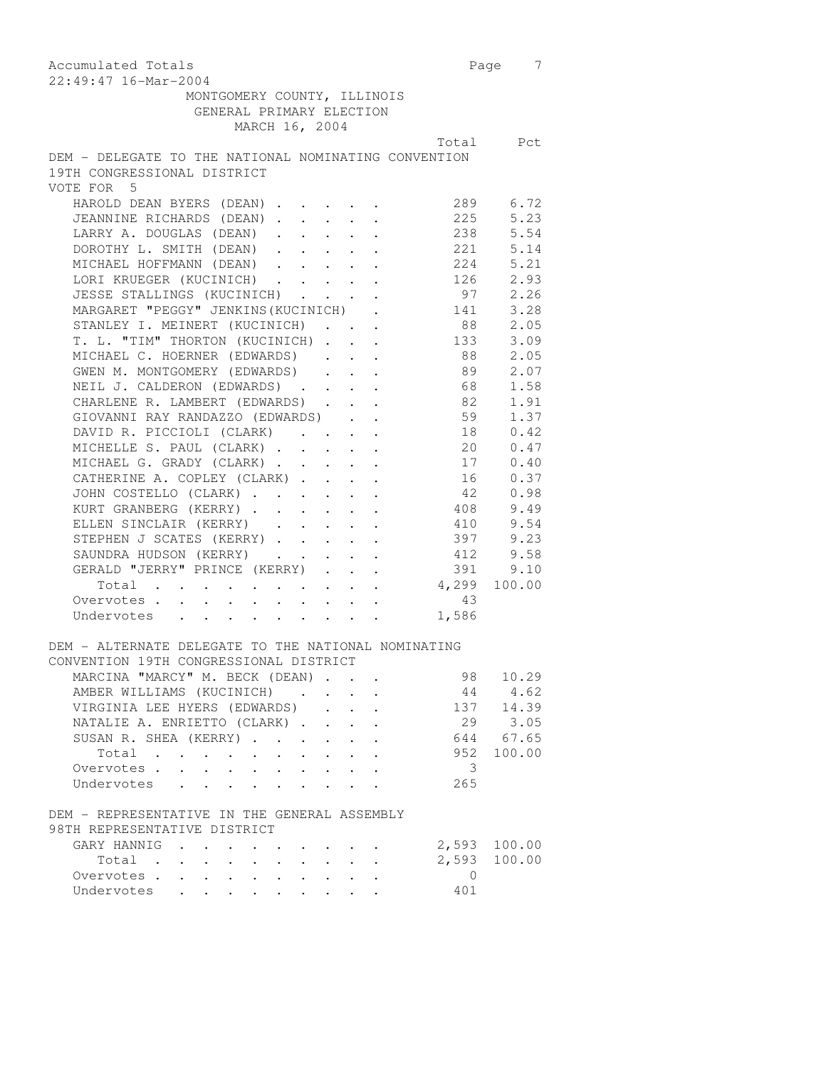| Accumulated Totals                                                                                                                                    |                | Page 7                                                 |  |
|-------------------------------------------------------------------------------------------------------------------------------------------------------|----------------|--------------------------------------------------------|--|
| 22:49:47 16-Mar-2004                                                                                                                                  |                |                                                        |  |
| MONTGOMERY COUNTY, ILLINOIS                                                                                                                           |                |                                                        |  |
| GENERAL PRIMARY ELECTION                                                                                                                              |                |                                                        |  |
| MARCH 16, 2004                                                                                                                                        |                |                                                        |  |
|                                                                                                                                                       |                | Total Pct                                              |  |
| DEM - DELEGATE TO THE NATIONAL NOMINATING CONVENTION                                                                                                  |                |                                                        |  |
| 19TH CONGRESSIONAL DISTRICT                                                                                                                           |                |                                                        |  |
| VOTE FOR 5                                                                                                                                            |                |                                                        |  |
| HAROLD DEAN BYERS (DEAN)                                                                                                                              |                | 289 6.72                                               |  |
| JEANNINE RICHARDS (DEAN).<br>$\mathcal{L}^{\text{max}}$ , $\mathcal{L}^{\text{max}}$<br>$\mathcal{A}^{\mathcal{A}}$ and $\mathcal{A}^{\mathcal{A}}$ . | 225            | 5.23                                                   |  |
| LARRY A. DOUGLAS (DEAN)                                                                                                                               |                | 238 5.54                                               |  |
| DOROTHY L. SMITH (DEAN)                                                                                                                               |                | 221 5.14                                               |  |
| MICHAEL HOFFMANN (DEAN) 224 5.21                                                                                                                      |                |                                                        |  |
| LORI KRUEGER (KUCINICH) 126 2.93                                                                                                                      |                |                                                        |  |
| JESSE STALLINGS (KUCINICH) 97 2.26                                                                                                                    |                |                                                        |  |
| MARGARET "PEGGY" JENKINS (KUCINICH) .                                                                                                                 | 141 3.28       |                                                        |  |
| STANLEY I. MEINERT (KUCINICH)                                                                                                                         |                |                                                        |  |
| T. L. "TIM" THORTON (KUCINICH).<br>$\Delta \sim 100$ km s $^{-1}$                                                                                     |                |                                                        |  |
| MICHAEL C. HOERNER (EDWARDS).<br>$\mathbf{L}$ and $\mathbf{L}$                                                                                        |                |                                                        |  |
| $\mathcal{L}^{\text{max}}$ , $\mathcal{L}^{\text{max}}$<br>GWEN M. MONTGOMERY (EDWARDS)                                                               |                | 89 2.07                                                |  |
| NEIL J. CALDERON (EDWARDS) 68 1.58                                                                                                                    |                |                                                        |  |
|                                                                                                                                                       |                |                                                        |  |
| CHARLENE R. LAMBERT (EDWARDS) 82 1.91                                                                                                                 |                |                                                        |  |
| GIOVANNI RAY RANDAZZO (EDWARDS) 69 1.37                                                                                                               |                |                                                        |  |
| DAVID R. PICCIOLI (CLARK) 18 0.42                                                                                                                     |                |                                                        |  |
| MICHELLE S. PAUL (CLARK)                                                                                                                              |                | 20 0.47                                                |  |
|                                                                                                                                                       |                | $\begin{array}{cc} 17 & 0.40 \\ 16 & 0.37 \end{array}$ |  |
| MICHAEL G. GRADY (CLARK)<br>CATHERINE A. COPLEY (CLARK)                                                                                               |                |                                                        |  |
| JOHN COSTELLO (CLARK)<br>KURT GRANBERG (KERRY)                                                                                                        |                | $42$ 0.98                                              |  |
|                                                                                                                                                       |                | 408 9.49                                               |  |
| ELLEN SINCLAIR (KERRY)                                                                                                                                | 410 9.54       |                                                        |  |
| STEPHEN J SCATES (KERRY) 397 9.23                                                                                                                     |                |                                                        |  |
| SAUNDRA HUDSON (KERRY) 412 9.58                                                                                                                       |                |                                                        |  |
| GERALD "JERRY" PRINCE (KERRY)                                                                                                                         |                | 391 9.10                                               |  |
| Total 4,299 100.00                                                                                                                                    |                |                                                        |  |
| Overvotes                                                                                                                                             | 43             |                                                        |  |
| Undervotes 1,586                                                                                                                                      |                |                                                        |  |
|                                                                                                                                                       |                |                                                        |  |
| DEM - ALTERNATE DELEGATE TO THE NATIONAL NOMINATING                                                                                                   |                |                                                        |  |
| CONVENTION 19TH CONGRESSIONAL DISTRICT                                                                                                                |                |                                                        |  |
| MARCINA "MARCY" M. BECK (DEAN)                                                                                                                        | 98             | 10.29                                                  |  |
| AMBER WILLIAMS (KUCINICH)                                                                                                                             |                | 44 4.62                                                |  |
| VIRGINIA LEE HYERS (EDWARDS)                                                                                                                          |                |                                                        |  |
| NATALIE A. ENRIETTO (CLARK).                                                                                                                          | 29             | 137 14.39<br>3.05                                      |  |
|                                                                                                                                                       |                |                                                        |  |
| SUSAN R. SHEA (KERRY)                                                                                                                                 |                | 644 67.65                                              |  |
| Total                                                                                                                                                 | 952            | 100.00                                                 |  |
| Overvotes.<br>$\mathbf{L}$                                                                                                                            | 3              |                                                        |  |
| Undervotes<br>$\mathbf{L}$<br>$\mathbf{L}$<br>$\sim$                                                                                                  | 265            |                                                        |  |
| DEM - REPRESENTATIVE IN THE GENERAL ASSEMBLY                                                                                                          |                |                                                        |  |
| 98TH REPRESENTATIVE DISTRICT                                                                                                                          |                |                                                        |  |
| GARY HANNIG<br>$\ddot{\phantom{a}}$                                                                                                                   |                | 2,593 100.00                                           |  |
| Total                                                                                                                                                 | 2,593          | 100.00                                                 |  |
| Overvotes                                                                                                                                             | $\overline{0}$ |                                                        |  |
| Undervotes<br>$\mathbf{L}$                                                                                                                            | 401            |                                                        |  |
|                                                                                                                                                       |                |                                                        |  |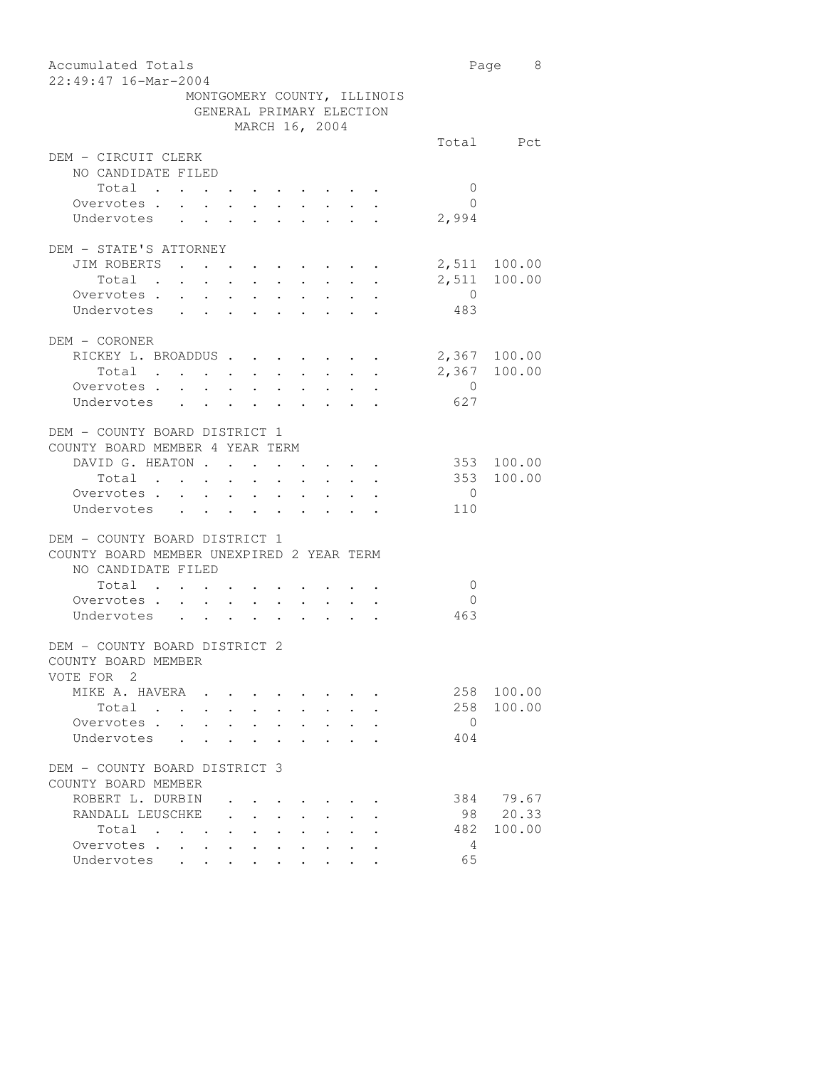| Accumulated Totals                                              |                                                                                                         |                                                                                                                                                     |                           |                      |                           |                |                                     |                             |                | Page 8       |
|-----------------------------------------------------------------|---------------------------------------------------------------------------------------------------------|-----------------------------------------------------------------------------------------------------------------------------------------------------|---------------------------|----------------------|---------------------------|----------------|-------------------------------------|-----------------------------|----------------|--------------|
| 22:49:47 16-Mar-2004                                            |                                                                                                         |                                                                                                                                                     |                           |                      |                           |                |                                     |                             |                |              |
|                                                                 |                                                                                                         |                                                                                                                                                     |                           |                      |                           |                |                                     | MONTGOMERY COUNTY, ILLINOIS |                |              |
|                                                                 | GENERAL PRIMARY ELECTION                                                                                |                                                                                                                                                     |                           |                      |                           |                |                                     |                             |                |              |
|                                                                 |                                                                                                         |                                                                                                                                                     |                           |                      |                           | MARCH 16, 2004 |                                     |                             |                |              |
| DEM - CIRCUIT CLERK                                             |                                                                                                         |                                                                                                                                                     |                           |                      |                           |                |                                     |                             |                | Total Pct    |
| NO CANDIDATE FILED                                              |                                                                                                         |                                                                                                                                                     |                           |                      |                           |                |                                     |                             |                |              |
| Total .                                                         | $\ddot{\phantom{0}}$                                                                                    | $\bullet$ .<br><br><br><br><br><br><br><br><br><br><br><br><br><br><br><br><br><br><br><br><br><br><br><br><br><br><br><br><br><br><br><br><br><br> |                           |                      |                           |                |                                     |                             | $\mathbf{0}$   |              |
| Overvotes .                                                     | $\sim$<br>$\cdot$ $\cdot$                                                                               |                                                                                                                                                     | $\sim$                    |                      |                           |                |                                     |                             | $\bigcirc$     |              |
| Undervotes                                                      |                                                                                                         |                                                                                                                                                     |                           |                      | $\mathbf{L}^{\text{max}}$ |                | $\mathbf{L}^{\text{max}}$           |                             | 2,994          |              |
| DEM - STATE'S ATTORNEY                                          |                                                                                                         |                                                                                                                                                     |                           |                      |                           |                |                                     |                             |                |              |
| JIM ROBERTS                                                     |                                                                                                         |                                                                                                                                                     |                           |                      |                           |                |                                     |                             |                | 2,511 100.00 |
| Total .                                                         |                                                                                                         |                                                                                                                                                     |                           |                      |                           |                |                                     |                             | 2,511          | 100.00       |
| Overvotes .                                                     | $\mathbf{z} = \mathbf{z} + \mathbf{z} + \mathbf{z} + \mathbf{z} + \mathbf{z} + \mathbf{z} + \mathbf{z}$ |                                                                                                                                                     |                           |                      |                           |                |                                     |                             | $\overline{0}$ |              |
| Undervotes                                                      |                                                                                                         |                                                                                                                                                     |                           | $\ddot{\phantom{a}}$ |                           |                |                                     |                             | 483            |              |
|                                                                 |                                                                                                         |                                                                                                                                                     |                           |                      |                           |                |                                     |                             |                |              |
| DEM - CORONER                                                   |                                                                                                         |                                                                                                                                                     |                           |                      |                           |                |                                     |                             |                |              |
| RICKEY L. BROADDUS                                              |                                                                                                         |                                                                                                                                                     |                           |                      |                           |                |                                     |                             |                | 2,367 100.00 |
| Total $\cdots$                                                  |                                                                                                         |                                                                                                                                                     |                           |                      |                           |                |                                     |                             |                | 2,367 100.00 |
| Overvotes.                                                      |                                                                                                         |                                                                                                                                                     |                           |                      |                           |                |                                     |                             | $\overline{0}$ |              |
| Undervotes                                                      |                                                                                                         |                                                                                                                                                     |                           |                      |                           |                |                                     |                             | 627            |              |
|                                                                 |                                                                                                         |                                                                                                                                                     |                           |                      |                           |                |                                     |                             |                |              |
| DEM - COUNTY BOARD DISTRICT 1                                   |                                                                                                         |                                                                                                                                                     |                           |                      |                           |                |                                     |                             |                |              |
| COUNTY BOARD MEMBER 4 YEAR TERM                                 |                                                                                                         |                                                                                                                                                     |                           |                      |                           |                |                                     |                             |                |              |
| DAVID G. HEATON                                                 |                                                                                                         |                                                                                                                                                     | $\ddot{\phantom{a}}$      | $\ddot{\phantom{0}}$ | $\sim$                    |                |                                     |                             |                | 353 100.00   |
| Total                                                           | $\bullet$ .                                                                                             | $\ddot{\phantom{0}}$                                                                                                                                | $\bullet$ .               |                      | $\bullet$ .               |                |                                     |                             |                | 353 100.00   |
| Overvotes.                                                      |                                                                                                         |                                                                                                                                                     |                           |                      |                           |                |                                     |                             | $\overline{0}$ |              |
| Undervotes                                                      |                                                                                                         |                                                                                                                                                     |                           |                      |                           |                |                                     |                             | 110            |              |
|                                                                 |                                                                                                         |                                                                                                                                                     |                           |                      |                           |                |                                     |                             |                |              |
| DEM - COUNTY BOARD DISTRICT 1                                   |                                                                                                         |                                                                                                                                                     |                           |                      |                           |                |                                     |                             |                |              |
| COUNTY BOARD MEMBER UNEXPIRED 2 YEAR TERM<br>NO CANDIDATE FILED |                                                                                                         |                                                                                                                                                     |                           |                      |                           |                |                                     |                             |                |              |
| Total .                                                         | $\mathbf{z} = \mathbf{z} + \mathbf{z} + \mathbf{z}$                                                     |                                                                                                                                                     |                           |                      |                           |                |                                     |                             | $\overline{0}$ |              |
| Overvotes .                                                     | $\ddot{\phantom{0}}$<br>$\ddot{\phantom{0}}$                                                            | $\bullet$ .                                                                                                                                         | $\sim$                    | $\sim$               | $\bullet$ .               |                |                                     |                             | $\Omega$       |              |
| Undervotes                                                      | $\mathbf{r} = \mathbf{r} \cdot \mathbf{r}$                                                              |                                                                                                                                                     | $\mathbf{L}^{\text{max}}$ |                      | $\mathbf{L}^{\text{max}}$ |                | $\mathbb{R}^{n}$ , $\mathbb{R}^{n}$ |                             | 463            |              |
|                                                                 |                                                                                                         |                                                                                                                                                     |                           |                      |                           |                |                                     |                             |                |              |
| DEM - COUNTY BOARD DISTRICT 2<br>COUNTY BOARD MEMBER            |                                                                                                         |                                                                                                                                                     |                           |                      |                           |                |                                     |                             |                |              |
| VOTE FOR 2                                                      |                                                                                                         |                                                                                                                                                     |                           |                      |                           |                |                                     |                             |                |              |
| MIKE A. HAVERA .                                                |                                                                                                         |                                                                                                                                                     |                           |                      |                           |                |                                     |                             | 258            | 100.00       |
| Total .                                                         | $\ddot{\phantom{a}}$                                                                                    |                                                                                                                                                     |                           |                      |                           |                |                                     |                             | 258            | 100.00       |
| Overvotes .                                                     |                                                                                                         |                                                                                                                                                     |                           |                      |                           |                |                                     |                             | $\overline{0}$ |              |
| Undervotes                                                      |                                                                                                         |                                                                                                                                                     |                           |                      |                           |                |                                     |                             | 404            |              |
|                                                                 |                                                                                                         |                                                                                                                                                     |                           |                      |                           |                |                                     |                             |                |              |
| DEM - COUNTY BOARD DISTRICT 3                                   |                                                                                                         |                                                                                                                                                     |                           |                      |                           |                |                                     |                             |                |              |
| COUNTY BOARD MEMBER                                             |                                                                                                         |                                                                                                                                                     |                           |                      |                           |                |                                     |                             |                |              |
| ROBERT L. DURBIN                                                |                                                                                                         |                                                                                                                                                     |                           |                      |                           |                |                                     |                             |                | 384 79.67    |
| RANDALL LEUSCHKE                                                |                                                                                                         |                                                                                                                                                     |                           |                      |                           |                |                                     |                             | 98             | 20.33        |
| Total<br>$\sim$                                                 | <b>Contract Contract</b>                                                                                | $\ddot{\phantom{0}}$                                                                                                                                | $\ddot{\phantom{a}}$      | $\ddot{\phantom{0}}$ |                           |                |                                     |                             | 482            | 100.00       |
| Overvotes                                                       | $\bullet$ .                                                                                             |                                                                                                                                                     |                           |                      |                           |                |                                     |                             | 4              |              |
| Undervotes                                                      |                                                                                                         |                                                                                                                                                     |                           |                      |                           |                |                                     |                             | 65             |              |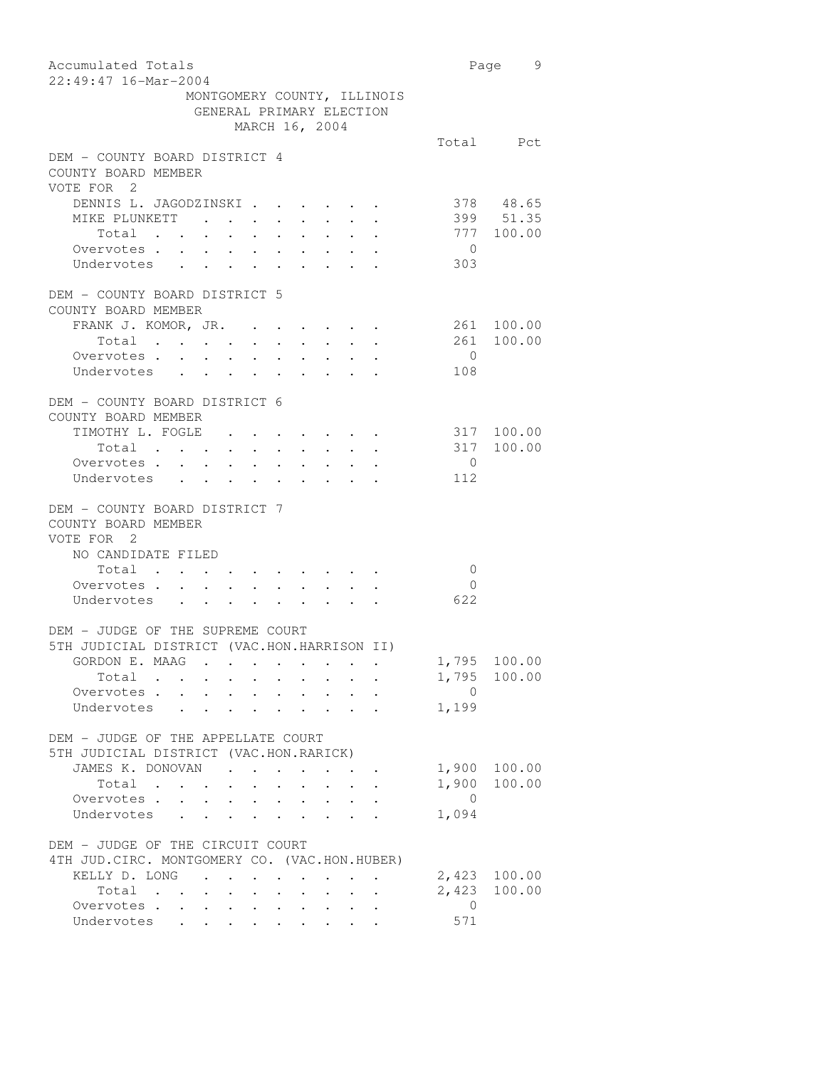| Accumulated Totals<br>22:49:47 16-Mar-2004                                                                                                                   |                       | Page 9           |
|--------------------------------------------------------------------------------------------------------------------------------------------------------------|-----------------------|------------------|
| MONTGOMERY COUNTY, ILLINOIS<br>GENERAL PRIMARY ELECTION                                                                                                      |                       |                  |
| MARCH 16, 2004                                                                                                                                               |                       |                  |
| DEM - COUNTY BOARD DISTRICT 4<br>COUNTY BOARD MEMBER<br>VOTE FOR 2                                                                                           |                       | Total Pct        |
| DENNIS L. JAGODZINSKI                                                                                                                                        |                       | 378 48.65        |
| MIKE PLUNKETT                                                                                                                                                |                       | 399 51.35        |
| Total<br>$\mathbf{a} = \mathbf{a} + \mathbf{a} + \mathbf{a} + \mathbf{a} + \mathbf{a} + \mathbf{a} + \mathbf{a} + \mathbf{a} + \mathbf{a}$                   |                       | 777 100.00       |
| Overvotes .<br>$\sim$ $\sim$<br>$\mathbf{z} = \mathbf{z} + \mathbf{z}$ .<br>$\bullet$ .                                                                      | $\overline{0}$        |                  |
| Undervotes<br>$\ddot{\phantom{0}}$<br>$\ddot{\phantom{0}}$<br>$\sim$<br>$\ddot{\phantom{0}}$<br>$\ddot{\phantom{a}}$<br>$\ddot{\phantom{a}}$                 | 303                   |                  |
| DEM - COUNTY BOARD DISTRICT 5                                                                                                                                |                       |                  |
| COUNTY BOARD MEMBER                                                                                                                                          |                       |                  |
| FRANK J. KOMOR, JR.                                                                                                                                          |                       | 261 100.00       |
| Total                                                                                                                                                        | 261                   | 100.00           |
| Overvotes                                                                                                                                                    | $\overline{0}$        |                  |
| Undervotes                                                                                                                                                   | 108                   |                  |
| DEM - COUNTY BOARD DISTRICT 6<br>COUNTY BOARD MEMBER                                                                                                         |                       |                  |
| TIMOTHY L. FOGLE                                                                                                                                             | 317 100.00            |                  |
| Total                                                                                                                                                        | 317 100.00            |                  |
| Overvotes.                                                                                                                                                   | $\overline{0}$        |                  |
| Undervotes                                                                                                                                                   | 112                   |                  |
| DEM - COUNTY BOARD DISTRICT 7<br>COUNTY BOARD MEMBER<br>VOTE FOR 2<br>NO CANDIDATE FILED                                                                     |                       |                  |
| Total                                                                                                                                                        | $\mathbf{0}$          |                  |
| Overvotes<br>Undervotes                                                                                                                                      | $\overline{0}$<br>622 |                  |
|                                                                                                                                                              |                       |                  |
| DEM - JUDGE OF THE SUPREME COURT<br>5TH JUDICIAL DISTRICT (VAC.HON.HARRISON II)                                                                              |                       |                  |
| GORDON E. MAAG .                                                                                                                                             | 1,795 100.00          |                  |
| Total                                                                                                                                                        |                       | 1,795 100.00     |
| Overvotes<br>$\mathbf{L}$<br>$\sim$ $-$<br>$\sim$<br>$\sim$                                                                                                  | $\overline{0}$        |                  |
| Undervotes<br>$\mathbf{L}$ $\mathbf{L}$                                                                                                                      | 1,199                 |                  |
| DEM - JUDGE OF THE APPELLATE COURT                                                                                                                           |                       |                  |
| 5TH JUDICIAL DISTRICT (VAC.HON.RARICK)                                                                                                                       |                       |                  |
| JAMES K. DONOVAN<br>$\mathbf{r} = \mathbf{r} + \mathbf{r}$ .                                                                                                 | 1,900                 | 100.00           |
| Total                                                                                                                                                        | 1,900                 | 100.00           |
| Overvotes .                                                                                                                                                  | $\overline{0}$        |                  |
| Undervotes                                                                                                                                                   | 1,094                 |                  |
| DEM - JUDGE OF THE CIRCUIT COURT                                                                                                                             |                       |                  |
| 4TH JUD. CIRC. MONTGOMERY CO. (VAC.HON.HUBER)                                                                                                                |                       |                  |
| KELLY D. LONG<br>$\ddot{\phantom{0}}$<br>$\ddot{\phantom{a}}$                                                                                                | 2,423<br>2,423        | 100.00<br>100.00 |
| Total<br>$\mathcal{L}(\mathcal{A})$ , and $\mathcal{L}(\mathcal{A})$<br>$\mathbf{A}$ and $\mathbf{A}$ and $\mathbf{A}$<br>Overvotes                          | $\overline{0}$        |                  |
| $\bullet$ . In the case of the contract $\bullet$<br>$\bullet$ .<br>Undervotes<br>$\mathbf{L}^{\text{max}}$ , where $\mathbf{L}^{\text{max}}$<br>$\bullet$ . | 571                   |                  |
|                                                                                                                                                              |                       |                  |